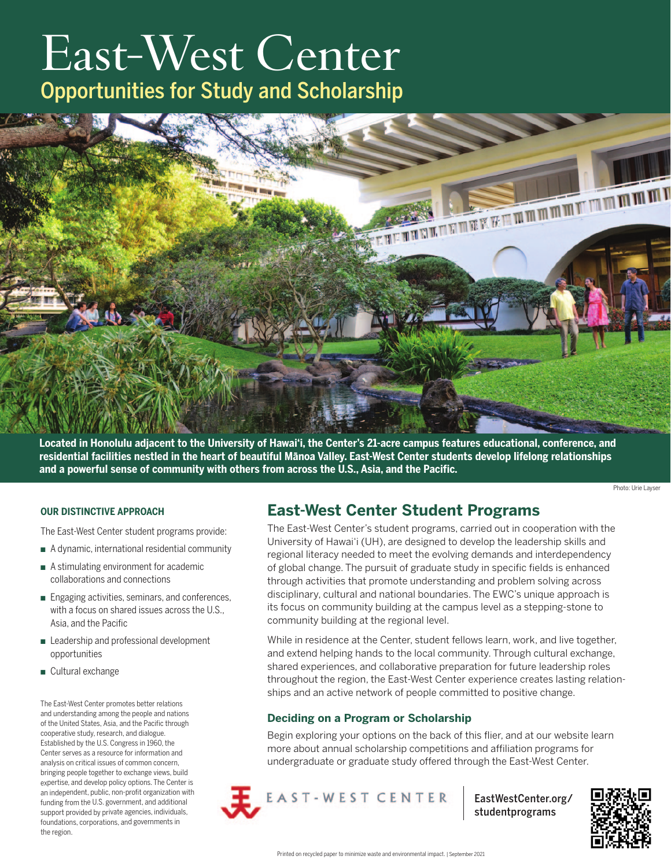# East-West Center Opportunities for Study and Scholarship



**Located in Honolulu adjacent to the University of Hawai'i, the Center's 21-acre campus features educational, conference, and residential facilities nestled in the heart of beautiful Mānoa Valley. East-West Center students develop lifelong relationships and a powerful sense of community with others from across the U.S., Asia, and the Pacific.**

Photo: Urie Layser

#### **OUR DISTINCTIVE APPROACH**

The East-West Center student programs provide:

- $\blacksquare$  A dynamic, international residential community
- $\blacksquare$  A stimulating environment for academic collaborations and connections
- **n** Engaging activities, seminars, and conferences, with a focus on shared issues across the U.S., Asia, and the Pacific
- Leadership and professional development opportunities
- Cultural exchange

The East-West Center promotes better relations and understanding among the people and nations of the United States, Asia, and the Pacific through cooperative study, research, and dialogue. Established by the U.S. Congress in 1960, the Center serves as a resource for information and analysis on critical issues of common concern, bringing people together to exchange views, build expertise, and develop policy options. The Center is an independent, public, non-profit organization with funding from the U.S. government, and additional support provided by private agencies, individuals, foundations, corporations, and governments in the region.

## **East-West Center Student Programs**

The East-West Center's student programs, carried out in cooperation with the University of Hawai'i (UH), are designed to develop the leadership skills and regional literacy needed to meet the evolving demands and interdependency of global change. The pursuit of graduate study in specific fields is enhanced through activities that promote understanding and problem solving across disciplinary, cultural and national boundaries. The EWC's unique approach is its focus on community building at the campus level as a stepping-stone to community building at the regional level.

While in residence at the Center, student fellows learn, work, and live together, and extend helping hands to the local community. Through cultural exchange, shared experiences, and collaborative preparation for future leadership roles throughout the region, the East-West Center experience creates lasting relationships and an active network of people committed to positive change.

### **Deciding on a Program or Scholarship**

Begin exploring your options on the back of this flier, and at our website learn more about annual scholarship competitions and affiliation programs for undergraduate or graduate study offered through the East-West Center.



[EastWestCenter.org/](http://www.EastWestCenter.org/studentprograms) [studentprograms](http://www.EastWestCenter.org/studentprograms)